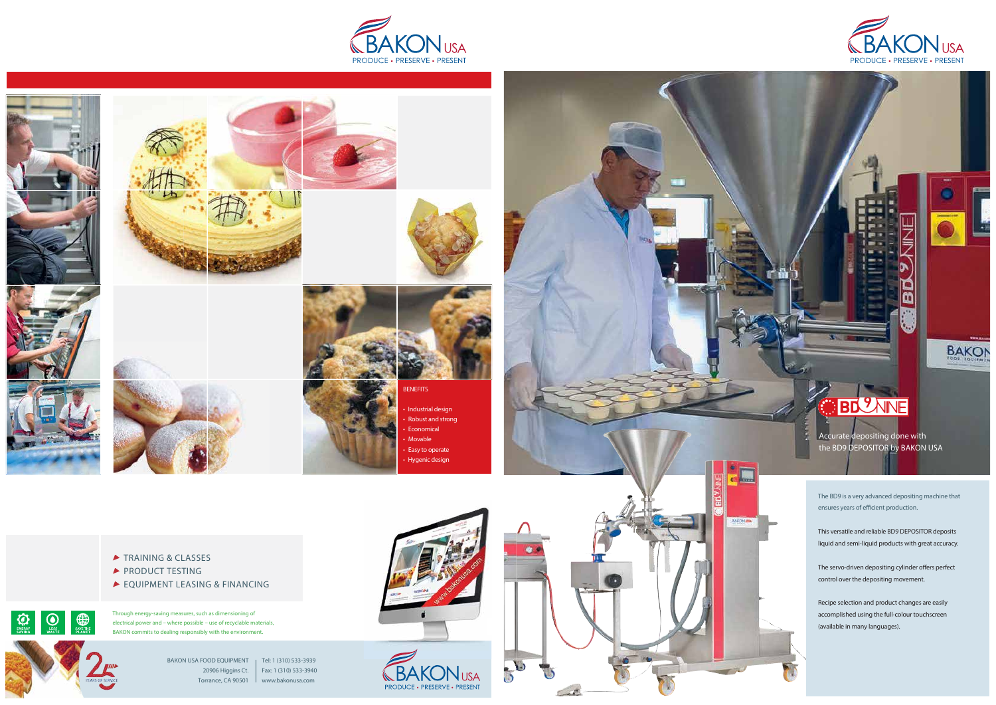



 $\begin{tabular}{|c|c|} \hline \quad \quad & \quad & \quad \quad & \quad \quad \\ \hline \tiny \begin{tabular}{c} \tiny \text{LESS} \end{tabular} & \begin{tabular}{c} \tiny \text{LESS} \end{tabular} \\ \tiny \text{WASTE} \end{tabular}$ 

 $\bigotimes_{\mathsf{ENERC}^{\mathsf{K}}_{\mathsf{C}}\mathsf{N}}$ 











Th rough ene rgy-saving measu res, such as dimensioning of electrical power and - where possible - use of recyclable materials, BAKON commits to dealing responsibly with the environment.



• Industrial design • Robust and strong • **Economical** • Movable • Easy to operate • Hygenic design



- ▶ TRAINING & CLASSES
- PRODUCT TESTING
- EQUIPMENT LEASING & FINANCING











m

**BAKON** 

## BD WNE

Accurate depositing done with the BD9 DEPOSITOR by BAKON USA

The BD9 is a very advanced depositing machine that ensures years of efficient production.

This versatile and reliable BD9 DEPOSITOR deposits liquid and semi-liquid products with great accuracy.

The servo-driven depositing cylinder offers perfect control over the depositing movement.

Recipe selection and product changes are easily accomplished using the full-colour touchscreen (available in many languages).